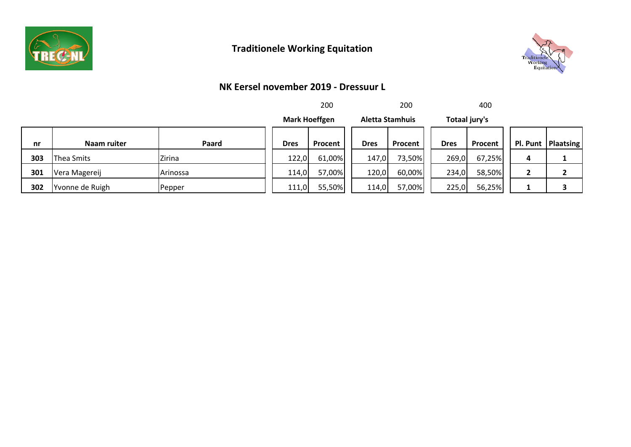

# **Traditionele Working Equitation**



#### **NK Eersel november 2019 - Dressuur L**

|     |                 |          |             | 200                  |             | 200                    |               | 400     |   |                      |
|-----|-----------------|----------|-------------|----------------------|-------------|------------------------|---------------|---------|---|----------------------|
|     |                 |          |             | <b>Mark Hoeffgen</b> |             | <b>Aletta Stamhuis</b> | Totaal jury's |         |   |                      |
| nr  | Naam ruiter     | Paard    | <b>Dres</b> | <b>Procent</b>       | <b>Dres</b> | Procent                | <b>Dres</b>   | Procent |   | Pl. Punt   Plaatsing |
| 303 | Thea Smits      | Zirina   | 122,0       | 61,00%               | 147,0       | 73,50%                 | 269,0         | 67,25%  | Д |                      |
| 301 | Vera Magereij   | Arinossa | 114,0       | 57,00%               | 120,0       | 60,00%                 | 234,0         | 58,50%  |   |                      |
| 302 | Yvonne de Ruigh | Pepper   | 111,0       | 55,50%               | 114,0       | 57,00%                 | 225,0         | 56,25%  |   |                      |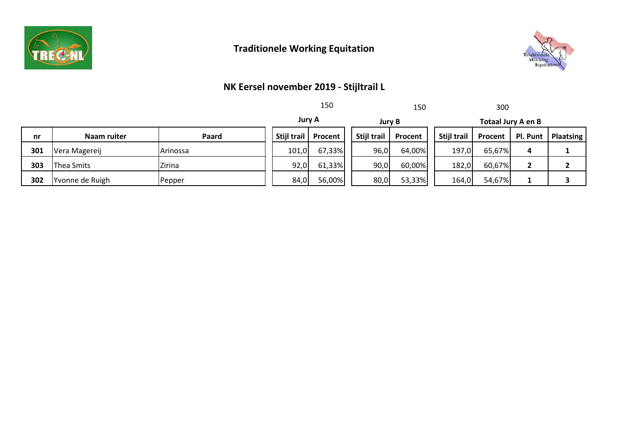

# **Traditionele Working Equitation**



## **NK Eersel november 2019 - Stijltrail L**

|     |                 |               |             | 150           |                    | 150     | 300                       |         |          |           |
|-----|-----------------|---------------|-------------|---------------|--------------------|---------|---------------------------|---------|----------|-----------|
|     |                 |               |             | <b>Jury A</b> | <b>Jury B</b>      |         | <b>Totaal Jury A en B</b> |         |          |           |
| nr  | Naam ruiter     | Paard         | Stijl trail | Procent       | <b>Stijl trail</b> | Procent | Stijl trail               | Procent | Pl. Punt | Plaatsing |
| 301 | Vera Magereij   | Arinossa      | 101,0       | 67,33%        | 96,0               | 64,00%  | 197,0                     | 65,67%  | 4        |           |
| 303 | Thea Smits      | <b>Zirina</b> | 92,0        | 61,33%        | 90,0               | 60,00%  | 182,0                     | 60,67%  |          |           |
| 302 | Yvonne de Ruigh | Pepper        | 84,0        | 56,00%        | 80,0               | 53,33%  | 164,0                     | 54,67%  |          |           |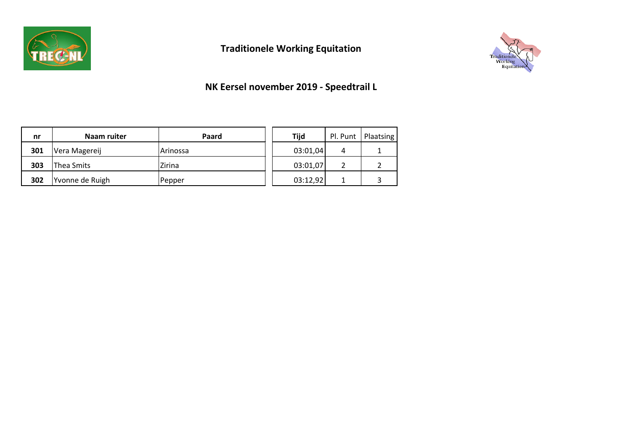

# **Traditionele Working Equitation**



## **NK Eersel november 2019 - Speedtrail L**

| nr  | Naam ruiter     | Paard    | <b>Tijd</b> |   | Pl. Punt   Plaatsing |
|-----|-----------------|----------|-------------|---|----------------------|
| 301 | Vera Magereij   | Arinossa | 03:01,04    | 4 |                      |
| 303 | Thea Smits      | Zirina   | 03:01,07    |   |                      |
| 302 | Yvonne de Ruigh | Pepper   | 03:12,92    | 1 |                      |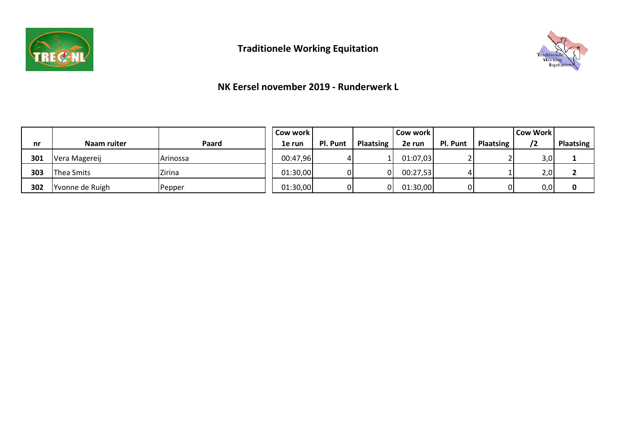



#### **NK Eersel november 2019 - Runderwerk L**

|     |                  |                   | Cow work l |          |                  | Cow work l |          |                  | <b>Cow Work</b> |                  |
|-----|------------------|-------------------|------------|----------|------------------|------------|----------|------------------|-----------------|------------------|
| nr  | Naam ruiter      | Paard             | 1e run     | Pl. Punt | <b>Plaatsing</b> | 2e run     | Pl. Punt | <b>Plaatsing</b> | /2              | <b>Plaatsing</b> |
| 301 | Vera Magereij    | <b>I</b> Arinossa | 00:47,96   |          |                  | 01:07,03   |          |                  | 3,0             |                  |
| 303 | Thea Smits       | <b>Zirina</b>     | 01:30,00   | ΩI       | ΩL               | 00:27,53   |          |                  | 2,0             |                  |
| 302 | 'Yvonne de Ruigh | Pepper            | 01:30,00   | ΩI       | 01               | 01:30,00   |          |                  | 0,0             | 0                |